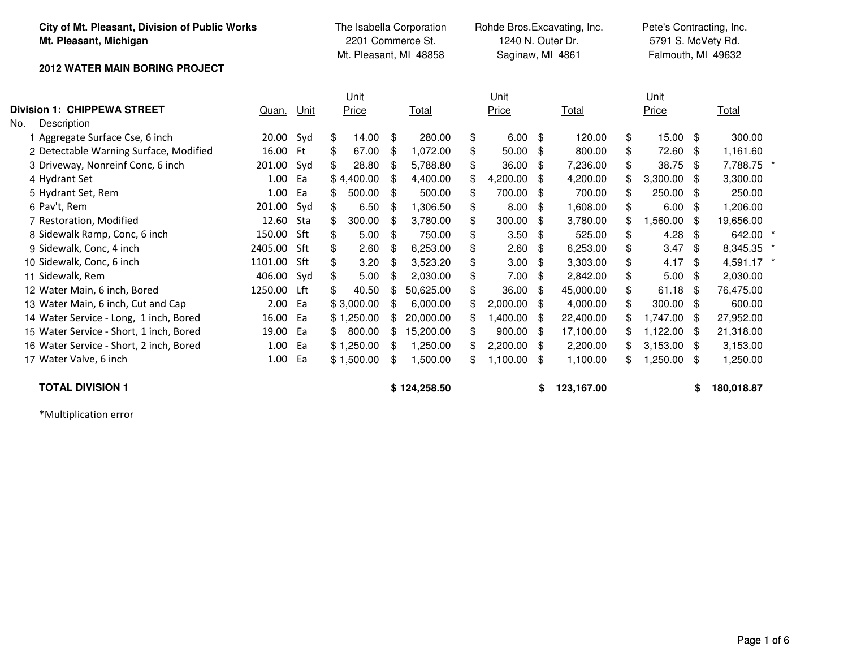| City of Mt. Pleasant, Division of Public Works<br>Mt. Pleasant, Michigan<br><b>2012 WATER MAIN BORING PROJECT</b> |            | The Isabella Corporation<br>2201 Commerce St.<br>Mt. Pleasant, MI 48858 |              |    |              | Rohde Bros.Excavating, Inc.<br>1240 N. Outer Dr.<br>Saginaw, MI 4861 |          |      |            | Pete's Contracting, Inc.<br>5791 S. McVety Rd.<br>Falmouth, MI 49632 |            |    |            |  |  |
|-------------------------------------------------------------------------------------------------------------------|------------|-------------------------------------------------------------------------|--------------|----|--------------|----------------------------------------------------------------------|----------|------|------------|----------------------------------------------------------------------|------------|----|------------|--|--|
|                                                                                                                   |            |                                                                         |              |    |              |                                                                      |          |      |            |                                                                      |            |    |            |  |  |
|                                                                                                                   |            |                                                                         | Unit         |    |              |                                                                      | Unit     |      |            |                                                                      | Unit       |    |            |  |  |
| <b>Division 1: CHIPPEWA STREET</b>                                                                                | Quan. Unit |                                                                         | Price        |    | Total        |                                                                      | Price    |      | Total      |                                                                      | Price      |    | Total      |  |  |
| Description<br>No.                                                                                                |            |                                                                         |              |    |              |                                                                      |          |      |            |                                                                      |            |    |            |  |  |
| 1 Aggregate Surface Cse, 6 inch                                                                                   | 20.00 Syd  |                                                                         | \$<br>14.00  | \$ | 280.00       | \$                                                                   | 6.00     | - \$ | 120.00     | \$                                                                   | $15.00$ \$ |    | 300.00     |  |  |
| 2 Detectable Warning Surface, Modified                                                                            | 16.00      | - Ft                                                                    | 67.00<br>\$  | \$ | 1,072.00     | \$                                                                   | 50.00    | \$   | 800.00     | \$                                                                   | 72.60      | \$ | 1,161.60   |  |  |
| 3 Driveway, Nonreinf Conc, 6 inch                                                                                 | 201.00     | Syd                                                                     | 28.80<br>\$  | \$ | 5,788.80     | \$                                                                   | 36.00    | - \$ | 7,236.00   | \$                                                                   | 38.75      | \$ | 7,788.75 * |  |  |
| 4 Hydrant Set                                                                                                     | 1.00       | Ea                                                                      | \$4,400.00   | \$ | 4,400.00     | £.                                                                   | 4,200.00 | -\$  | 4,200.00   | \$                                                                   | 3,300.00   | \$ | 3,300.00   |  |  |
| 5 Hydrant Set, Rem                                                                                                | 1.00       | Ea                                                                      | 500.00<br>\$ | \$ | 500.00       | \$                                                                   | 700.00   | - \$ | 700.00     | \$                                                                   | 250.00     | \$ | 250.00     |  |  |
| 6 Pav't, Rem                                                                                                      | 201.00     | Syd                                                                     | \$<br>6.50   | \$ | 1,306.50     | \$                                                                   | 8.00     | \$   | 1,608.00   | \$                                                                   | 6.00       | \$ | 1,206.00   |  |  |
| 7 Restoration, Modified                                                                                           | 12.60      | Sta                                                                     | \$<br>300.00 | \$ | 3,780.00     | \$                                                                   | 300.00   | \$   | 3,780.00   | \$                                                                   | 1,560.00   | \$ | 19,656.00  |  |  |
| 8 Sidewalk Ramp, Conc, 6 inch                                                                                     | 150.00     | Sft                                                                     | \$<br>5.00   | \$ | 750.00       | \$                                                                   | 3.50     | -\$  | 525.00     | \$                                                                   | 4.28       | \$ | 642.00 *   |  |  |
| 9 Sidewalk, Conc, 4 inch                                                                                          | 2405.00    | Sft                                                                     | 2.60<br>\$   | \$ | 6,253.00     | \$                                                                   | 2.60     | -\$  | 6,253.00   | \$                                                                   | 3.47       | \$ | 8,345.35 * |  |  |
| 10 Sidewalk, Conc, 6 inch                                                                                         | 1101.00    | Sft                                                                     | \$<br>3.20   | \$ | 3,523.20     | \$                                                                   | 3.00     | - \$ | 3,303.00   | \$                                                                   | 4.17       | \$ | 4,591.17 * |  |  |
| 11 Sidewalk, Rem                                                                                                  | 406.00     | Svd                                                                     | \$<br>5.00   | \$ | 2,030.00     | \$                                                                   | 7.00     | - \$ | 2,842.00   | \$                                                                   | 5.00       | \$ | 2,030.00   |  |  |
| 12 Water Main, 6 inch, Bored                                                                                      | 1250.00    | Lft                                                                     | \$<br>40.50  | \$ | 50,625.00    | \$                                                                   | 36.00    | -\$  | 45,000.00  | \$                                                                   | 61.18      | \$ | 76,475.00  |  |  |
| 13 Water Main, 6 inch, Cut and Cap                                                                                | 2.00       | Ea                                                                      | \$3,000.00   | \$ | 6,000.00     | \$.                                                                  | 2,000.00 | - \$ | 4,000.00   | \$                                                                   | 300.00     | \$ | 600.00     |  |  |
| 14 Water Service - Long, 1 inch, Bored                                                                            | 16.00      | Ea                                                                      | \$1,250.00   | S  | 20,000.00    | \$.                                                                  | 1,400.00 | - \$ | 22,400.00  | \$                                                                   | 1,747.00   | \$ | 27,952.00  |  |  |
| 15 Water Service - Short, 1 inch, Bored                                                                           | 19.00      | Ea                                                                      | 800.00<br>\$ | \$ | 15,200.00    | \$                                                                   | 900.00   | -\$  | 17,100.00  | \$                                                                   | 1,122.00   | \$ | 21,318.00  |  |  |
| 16 Water Service - Short, 2 inch, Bored                                                                           | 1.00       | Ea                                                                      | \$1,250.00   | \$ | 1,250.00     |                                                                      | 2,200.00 | - \$ | 2,200.00   | \$                                                                   | 3,153.00   | \$ | 3,153.00   |  |  |
| 17 Water Valve, 6 inch                                                                                            | 1.00       | Ea                                                                      | \$1,500.00   | \$ | 1,500.00     | \$                                                                   | 1,100.00 | -\$  | 1,100.00   | \$                                                                   | ,250.00    | \$ | 1,250.00   |  |  |
| <b>TOTAL DIVISION 1</b>                                                                                           |            |                                                                         |              |    | \$124,258.50 |                                                                      |          | S    | 123,167.00 |                                                                      |            | S. | 180,018.87 |  |  |

\*Multiplication error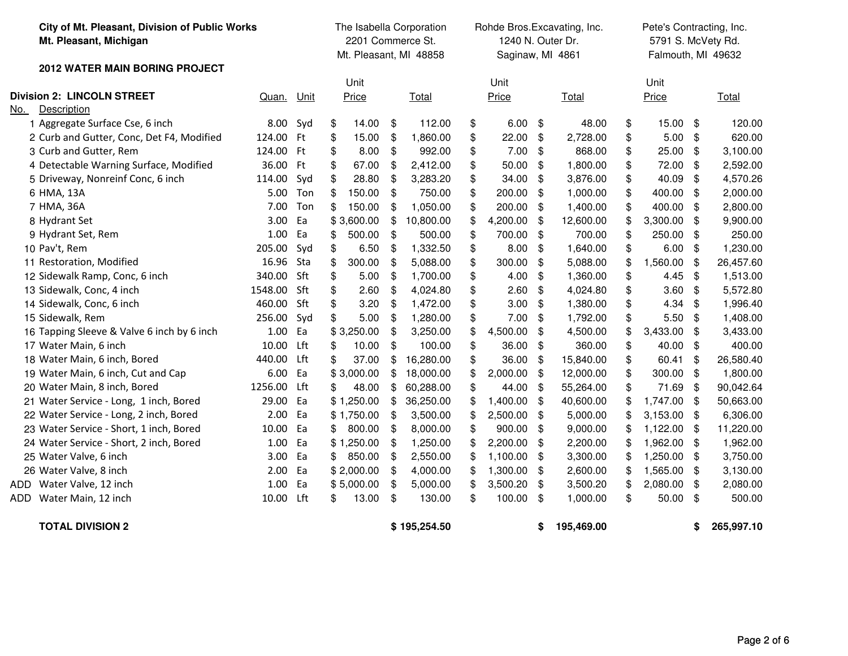| City of Mt. Pleasant, Division of Public Works<br>Mt. Pleasant, Michigan |           |           | The Isabella Corporation<br>2201 Commerce St.<br>Mt. Pleasant, MI 48858 |            |                |              | Rohde Bros.Excavating, Inc.<br>1240 N. Outer Dr.<br>Saginaw, MI 4861 |               |               |            |      | Pete's Contracting, Inc.<br>5791 S. McVety Rd.<br>Falmouth, MI 49632 |    |            |  |  |  |
|--------------------------------------------------------------------------|-----------|-----------|-------------------------------------------------------------------------|------------|----------------|--------------|----------------------------------------------------------------------|---------------|---------------|------------|------|----------------------------------------------------------------------|----|------------|--|--|--|
| <b>2012 WATER MAIN BORING PROJECT</b>                                    |           |           |                                                                         |            |                |              |                                                                      |               |               |            |      |                                                                      |    |            |  |  |  |
|                                                                          |           |           |                                                                         | Unit       |                |              | Unit                                                                 |               |               |            | Unit |                                                                      |    |            |  |  |  |
| <b>Division 2: LINCOLN STREET</b>                                        | Quan.     | Unit      |                                                                         | Price      |                | Total        |                                                                      | Price         |               | Total      |      | Price                                                                |    | Total      |  |  |  |
| <b>Description</b><br>No.                                                |           |           |                                                                         |            |                |              |                                                                      |               |               |            |      |                                                                      |    |            |  |  |  |
| 1 Aggregate Surface Cse, 6 inch                                          | 8.00      | Syd       | \$                                                                      | 14.00      | \$             | 112.00       | \$                                                                   | $6.00$ \$     |               | 48.00      | \$   | 15.00                                                                | \$ | 120.00     |  |  |  |
| 2 Curb and Gutter, Conc, Det F4, Modified                                | 124.00    | <b>Ft</b> | \$                                                                      | 15.00      | \$             | 1,860.00     | \$                                                                   | 22.00         | -\$           | 2,728.00   | \$   | 5.00                                                                 | \$ | 620.00     |  |  |  |
| 3 Curb and Gutter, Rem                                                   | 124.00 Ft |           | \$                                                                      | 8.00       | $\mathfrak{S}$ | 992.00       | \$                                                                   | 7.00          | \$            | 868.00     | \$   | 25.00                                                                | \$ | 3,100.00   |  |  |  |
| 4 Detectable Warning Surface, Modified                                   | 36.00     | Ft        | \$                                                                      | 67.00      | \$             | 2,412.00     | \$                                                                   | 50.00         | -\$           | 1,800.00   | \$   | 72.00                                                                | \$ | 2,592.00   |  |  |  |
| 5 Driveway, Nonreinf Conc, 6 inch                                        | 114.00    | Syd       | \$                                                                      | 28.80      | \$             | 3,283.20     | \$                                                                   | 34.00         | -\$           | 3,876.00   | \$   | 40.09                                                                | \$ | 4,570.26   |  |  |  |
| 6 HMA, 13A                                                               | 5.00      | Ton       | \$                                                                      | 150.00     | \$             | 750.00       | \$                                                                   | 200.00        | -\$           | 1,000.00   | \$   | 400.00                                                               | \$ | 2,000.00   |  |  |  |
| 7 HMA, 36A                                                               | 7.00      | Ton       | \$                                                                      | 150.00     | \$             | 1,050.00     | \$                                                                   | 200.00        | -\$           | 1,400.00   | \$   | 400.00                                                               | \$ | 2,800.00   |  |  |  |
| 8 Hydrant Set                                                            | 3.00      | Ea        |                                                                         | \$3,600.00 | \$             | 10,800.00    | \$                                                                   | 4,200.00      | \$            | 12,600.00  | \$   | 3,300.00                                                             | \$ | 9,900.00   |  |  |  |
| 9 Hydrant Set, Rem                                                       | 1.00      | Ea        | \$                                                                      | 500.00     | \$             | 500.00       | \$                                                                   | 700.00        | \$            | 700.00     | \$   | 250.00                                                               | \$ | 250.00     |  |  |  |
| 10 Pav't, Rem                                                            | 205.00    | Syd       | \$                                                                      | 6.50       | \$             | 1,332.50     | \$                                                                   | 8.00          | \$            | 1,640.00   | \$   | 6.00                                                                 | \$ | 1,230.00   |  |  |  |
| 11 Restoration, Modified                                                 | 16.96     | Sta       | \$                                                                      | 300.00     | \$             | 5,088.00     | \$                                                                   | 300.00        | -\$           | 5,088.00   | \$   | 1,560.00                                                             | \$ | 26,457.60  |  |  |  |
| 12 Sidewalk Ramp, Conc, 6 inch                                           | 340.00    | Sft       | \$                                                                      | 5.00       | \$             | 1,700.00     | \$                                                                   | 4.00          | \$            | 1,360.00   | \$   | 4.45                                                                 | \$ | 1,513.00   |  |  |  |
| 13 Sidewalk, Conc, 4 inch                                                | 1548.00   | Sft       | \$                                                                      | 2.60       | \$             | 4,024.80     | \$                                                                   | 2.60          | \$            | 4,024.80   | \$   | 3.60                                                                 | \$ | 5,572.80   |  |  |  |
| 14 Sidewalk, Conc, 6 inch                                                | 460.00    | Sft       | \$                                                                      | 3.20       | \$             | 1,472.00     | \$                                                                   | 3.00          | \$            | 1,380.00   | \$   | 4.34                                                                 | \$ | 1,996.40   |  |  |  |
| 15 Sidewalk, Rem                                                         | 256.00    | Syd       | \$                                                                      | 5.00       | \$             | 1,280.00     | \$                                                                   | 7.00          | \$            | 1,792.00   | \$   | 5.50                                                                 | \$ | 1,408.00   |  |  |  |
| 16 Tapping Sleeve & Valve 6 inch by 6 inch                               | 1.00      | Ea        |                                                                         | \$3,250.00 | \$             | 3,250.00     |                                                                      | 4,500.00      | \$            | 4,500.00   | \$   | 3,433.00                                                             | \$ | 3,433.00   |  |  |  |
| 17 Water Main, 6 inch                                                    | 10.00     | Lft       | \$                                                                      | 10.00      | \$             | 100.00       | \$                                                                   | 36.00         | $\frac{1}{2}$ | 360.00     | \$   | 40.00                                                                | \$ | 400.00     |  |  |  |
| 18 Water Main, 6 inch, Bored                                             | 440.00    | Lft       | \$                                                                      | 37.00      | \$             | 16,280.00    | \$                                                                   | 36.00         | -\$           | 15,840.00  | \$   | 60.41                                                                | \$ | 26,580.40  |  |  |  |
| 19 Water Main, 6 inch, Cut and Cap                                       | 6.00      | Ea        |                                                                         | \$3,000.00 | \$             | 18,000.00    |                                                                      | 2,000.00      | \$            | 12,000.00  | \$   | 300.00                                                               | \$ | 1,800.00   |  |  |  |
| 20 Water Main, 8 inch, Bored                                             | 1256.00   | Lft       | \$                                                                      | 48.00      | \$             | 60,288.00    | \$                                                                   | 44.00         | -\$           | 55,264.00  | \$   | 71.69                                                                | \$ | 90,042.64  |  |  |  |
| 21 Water Service - Long, 1 inch, Bored                                   | 29.00     | Ea        |                                                                         | \$1,250.00 | \$             | 36,250.00    |                                                                      | 1,400.00      | -\$           | 40,600.00  |      | 1,747.00                                                             | \$ | 50,663.00  |  |  |  |
| 22 Water Service - Long, 2 inch, Bored                                   | 2.00      | Ea        |                                                                         | \$1,750.00 | \$             | 3,500.00     | \$                                                                   | 2,500.00 \$   |               | 5,000.00   |      | 3,153.00                                                             | \$ | 6,306.00   |  |  |  |
| 23 Water Service - Short, 1 inch, Bored                                  | 10.00     | Ea        | \$                                                                      | 800.00     | \$             | 8,000.00     | \$                                                                   | 900.00        | -\$           | 9,000.00   |      | 1,122.00                                                             | \$ | 11,220.00  |  |  |  |
| 24 Water Service - Short, 2 inch, Bored                                  | 1.00      | Ea        |                                                                         | \$1,250.00 | \$             | 1,250.00     |                                                                      | 2,200.00      | -\$           | 2,200.00   |      | 1,962.00                                                             | \$ | 1,962.00   |  |  |  |
| 25 Water Valve, 6 inch                                                   | 3.00      | Ea        | \$                                                                      | 850.00     | \$             | 2,550.00     | \$                                                                   | $1,100.00$ \$ |               | 3,300.00   |      | 1,250.00                                                             | \$ | 3,750.00   |  |  |  |
| 26 Water Valve, 8 inch                                                   | 2.00      | Ea        |                                                                         | \$2,000.00 | \$             | 4,000.00     | \$                                                                   | 1,300.00 \$   |               | 2,600.00   |      | 1,565.00                                                             | \$ | 3,130.00   |  |  |  |
| Water Valve, 12 inch<br>ADD                                              | 1.00      | Ea        |                                                                         | \$5,000.00 | \$             | 5,000.00     | \$                                                                   | 3,500.20      | -\$           | 3,500.20   | \$   | 2,080.00                                                             | \$ | 2,080.00   |  |  |  |
| Water Main, 12 inch<br>ADD                                               | 10.00     | Lft       | \$                                                                      | 13.00      | \$             | 130.00       | \$                                                                   | 100.00        | \$            | 1,000.00   | \$   | 50.00                                                                | \$ | 500.00     |  |  |  |
| <b>TOTAL DIVISION 2</b>                                                  |           |           |                                                                         |            |                | \$195,254.50 |                                                                      |               | \$            | 195,469.00 |      |                                                                      | \$ | 265,997.10 |  |  |  |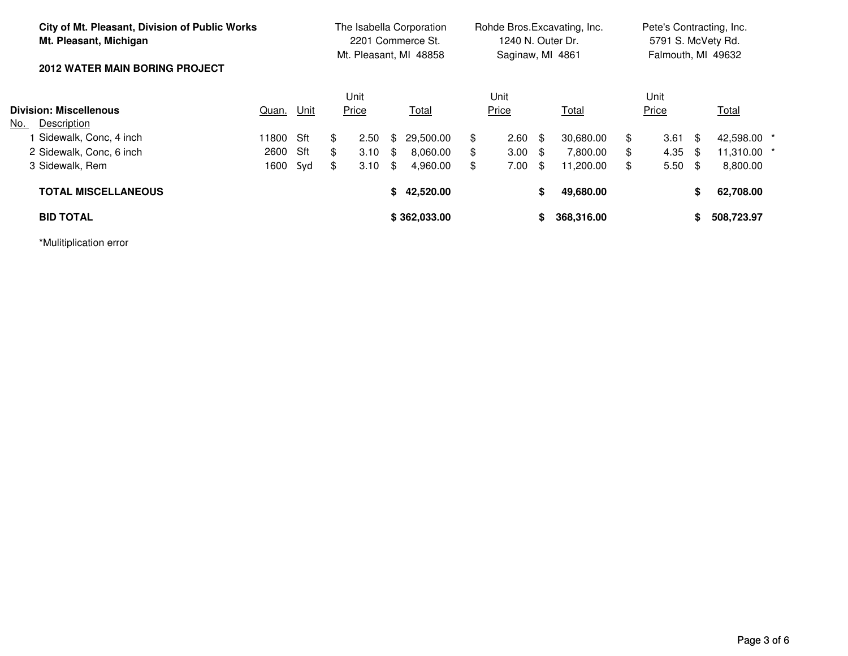| City of Mt. Pleasant, Division of Public Works<br>Mt. Pleasant, Michigan |          | The Isabella Corporation<br>2201 Commerce St.<br>Mt. Pleasant, MI 48858 |    |       |    | Rohde Bros. Excavating, Inc.<br>1240 N. Outer Dr.<br>Saginaw, MI 4861 |    |                 |      | Pete's Contracting, Inc.<br>5791 S. McVety Rd.<br>Falmouth, MI 49632 |    |       |      |              |  |
|--------------------------------------------------------------------------|----------|-------------------------------------------------------------------------|----|-------|----|-----------------------------------------------------------------------|----|-----------------|------|----------------------------------------------------------------------|----|-------|------|--------------|--|
| <b>2012 WATER MAIN BORING PROJECT</b>                                    |          |                                                                         |    |       |    |                                                                       |    |                 |      |                                                                      |    |       |      |              |  |
|                                                                          |          |                                                                         |    | Unit  |    |                                                                       |    | Unit            |      |                                                                      |    | Unit  |      |              |  |
| Division: Miscellenous                                                   | Quan.    | <u>Unit</u>                                                             |    | Price |    | Total                                                                 |    | Price           |      | <b>Total</b>                                                         |    | Price |      | <u>Total</u> |  |
| Description<br>No.                                                       |          |                                                                         |    |       |    |                                                                       |    |                 |      |                                                                      |    |       |      |              |  |
| Sidewalk, Conc, 4 inch                                                   | 11800    | Sft                                                                     | \$ | 2.50  | \$ | 29,500.00                                                             | \$ | $2.60 \quad$ \$ |      | 30.680.00                                                            | \$ | 3.61  | -\$  | 42,598.00 *  |  |
| 2 Sidewalk, Conc, 6 inch                                                 | 2600 Sft |                                                                         | \$ | 3.10  | \$ | 8.060.00                                                              | \$ | $3.00 \quad $$  |      | 7.800.00                                                             | \$ | 4.35  | - \$ | 11,310.00 *  |  |
| 3 Sidewalk, Rem                                                          | 1600 Syd |                                                                         | \$ | 3.10  | \$ | 4.960.00                                                              | \$ | 7.00            | - \$ | 11.200.00                                                            | \$ | 5.50  | - \$ | 8,800.00     |  |
| <b>TOTAL MISCELLANEOUS</b>                                               |          |                                                                         |    |       | S. | 42,520.00                                                             |    |                 | S.   | 49,680.00                                                            |    |       | S.   | 62,708.00    |  |
| <b>BID TOTAL</b>                                                         |          |                                                                         |    |       |    | \$362,033.00                                                          |    |                 | S    | 368,316.00                                                           |    |       |      | 508,723.97   |  |

\*Mulitiplication error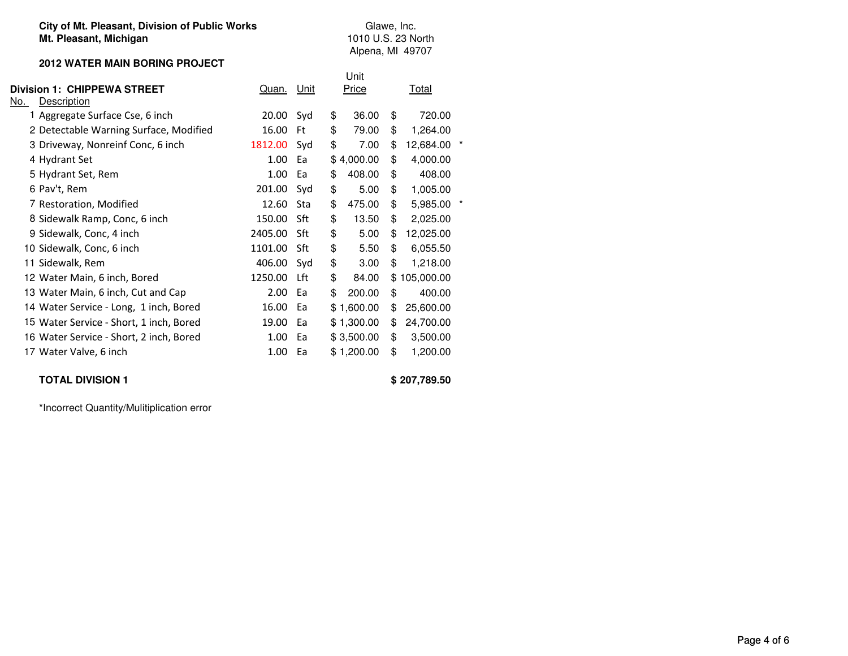#### **City of Mt. Pleasant, Division of Public WorksMt. Pleasant, Michigan**

#### **2012 WATER MAIN BORING PROJECT**

|                                         |            |     | Unit         |                 |  |
|-----------------------------------------|------------|-----|--------------|-----------------|--|
| Division 1:  CHIPPEWA STREET            | Quan. Unit |     | Price        | Total           |  |
| No.<br>Description                      |            |     |              |                 |  |
| 1 Aggregate Surface Cse, 6 inch         | 20.00      | Syd | \$<br>36.00  | \$<br>720.00    |  |
| 2 Detectable Warning Surface, Modified  | 16.00      | Ft  | \$<br>79.00  | \$<br>1,264.00  |  |
| 3 Driveway, Nonreinf Conc, 6 inch       | 1812.00    | Syd | \$<br>7.00   | \$<br>12,684.00 |  |
| 4 Hydrant Set                           | 1.00       | Ea  | \$4,000.00   | \$<br>4,000.00  |  |
| 5 Hydrant Set, Rem                      | 1.00       | Ea  | \$<br>408.00 | \$<br>408.00    |  |
| 6 Pav't, Rem                            | 201.00     | Syd | \$<br>5.00   | \$<br>1,005.00  |  |
| 7 Restoration, Modified                 | 12.60      | Sta | \$<br>475.00 | \$<br>5,985.00  |  |
| 8 Sidewalk Ramp, Conc, 6 inch           | 150.00     | Sft | \$<br>13.50  | \$<br>2,025.00  |  |
| 9 Sidewalk, Conc, 4 inch                | 2405.00    | Sft | \$<br>5.00   | \$<br>12,025.00 |  |
| 10 Sidewalk, Conc, 6 inch               | 1101.00    | Sft | \$<br>5.50   | \$<br>6,055.50  |  |
| 11 Sidewalk, Rem                        | 406.00     | Syd | \$<br>3.00   | \$<br>1,218.00  |  |
| 12 Water Main, 6 inch, Bored            | 1250.00    | Lft | \$<br>84.00  | \$105,000.00    |  |
| 13 Water Main, 6 inch, Cut and Cap      | 2.00       | Ea  | \$<br>200.00 | \$<br>400.00    |  |
| 14 Water Service - Long, 1 inch, Bored  | 16.00      | Ea  | \$1,600.00   | \$<br>25,600.00 |  |
| 15 Water Service - Short, 1 inch, Bored | 19.00      | Ea  | \$1,300.00   | \$<br>24,700.00 |  |
| 16 Water Service - Short, 2 inch, Bored | 1.00       | Ea  | \$3,500.00   | \$<br>3,500.00  |  |
| 17 Water Valve, 6 inch                  | 1.00       | Ea  | \$1,200.00   | \$<br>1,200.00  |  |
|                                         |            |     |              |                 |  |

# **TOTAL DIVISION 1**

**\$ 207,789.50**

Glawe, Inc. 1010 U.S. 23 NorthAlpena, MI 49707

\*Incorrect Quantity/Mulitiplication error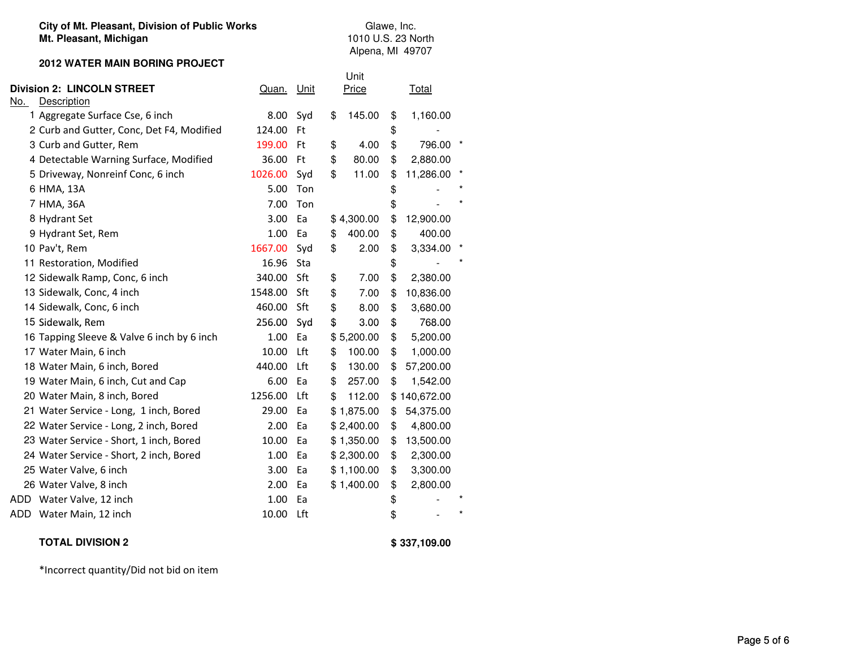#### **City of Mt. Pleasant, Division of Public WorksMt. Pleasant, Michigan**

Glawe, Inc. 1010 U.S. 23 NorthAlpena, MI 49707

#### **2012 WATER MAIN BORING PROJECT**

| <b>Division 2: LINCOLN STREET</b><br><u>No.</u><br>Description | Quan. Unit |     | Unit<br>Price | <b>Total</b>    |
|----------------------------------------------------------------|------------|-----|---------------|-----------------|
| 1 Aggregate Surface Cse, 6 inch                                | 8.00       | Syd | \$<br>145.00  | \$<br>1,160.00  |
| 2 Curb and Gutter, Conc, Det F4, Modified                      | 124.00     | Ft  |               | \$              |
| 3 Curb and Gutter, Rem                                         | 199.00     | Ft  | \$<br>4.00    | \$<br>796.00    |
| 4 Detectable Warning Surface, Modified                         | 36.00      | Ft  | \$<br>80.00   | \$<br>2,880.00  |
| 5 Driveway, Nonreinf Conc, 6 inch                              | 1026.00    | Syd | \$<br>11.00   | \$<br>11,286.00 |
| 6 HMA, 13A                                                     | 5.00       | Ton |               | \$              |
| 7 HMA, 36A                                                     | 7.00       | Ton |               | \$              |
| 8 Hydrant Set                                                  | 3.00       | Ea  | \$4,300.00    | \$<br>12,900.00 |
| 9 Hydrant Set, Rem                                             | 1.00       | Ea  | 400.00<br>\$  | \$<br>400.00    |
| 10 Pav't, Rem                                                  | 1667.00    | Syd | \$<br>2.00    | \$<br>3,334.00  |
| 11 Restoration, Modified                                       | 16.96      | Sta |               | \$              |
| 12 Sidewalk Ramp, Conc, 6 inch                                 | 340.00     | Sft | \$<br>7.00    | \$<br>2,380.00  |
| 13 Sidewalk, Conc, 4 inch                                      | 1548.00    | Sft | \$<br>7.00    | \$<br>10,836.00 |
| 14 Sidewalk, Conc, 6 inch                                      | 460.00     | Sft | \$<br>8.00    | \$<br>3,680.00  |
| 15 Sidewalk, Rem                                               | 256.00     | Syd | \$<br>3.00    | \$<br>768.00    |
| 16 Tapping Sleeve & Valve 6 inch by 6 inch                     | 1.00       | Ea  | \$5,200.00    | \$<br>5,200.00  |
| 17 Water Main, 6 inch                                          | 10.00      | Lft | 100.00<br>\$  | \$<br>1,000.00  |
| 18 Water Main, 6 inch, Bored                                   | 440.00     | Lft | 130.00<br>\$  | \$<br>57,200.00 |
| 19 Water Main, 6 inch, Cut and Cap                             | 6.00       | Ea  | 257.00<br>\$  | \$<br>1,542.00  |
| 20 Water Main, 8 inch, Bored                                   | 1256.00    | Lft | \$<br>112.00  | \$140,672.00    |
| 21 Water Service - Long, 1 inch, Bored                         | 29.00      | Ea  | \$1,875.00    | 54,375.00<br>\$ |
| 22 Water Service - Long, 2 inch, Bored                         | 2.00       | Ea  | \$2,400.00    | \$<br>4,800.00  |
| 23 Water Service - Short, 1 inch, Bored                        | 10.00      | Ea  | \$1,350.00    | 13,500.00<br>\$ |
| 24 Water Service - Short, 2 inch, Bored                        | 1.00       | Ea  | \$2,300.00    | \$<br>2,300.00  |
| 25 Water Valve, 6 inch                                         | 3.00       | Ea  | \$1,100.00    | \$<br>3,300.00  |
| 26 Water Valve, 8 inch                                         | 2.00       | Ea  | \$1,400.00    | \$<br>2,800.00  |
| ADD.<br>Water Valve, 12 inch                                   | 1.00       | Ea  |               | \$              |
| ADD Water Main, 12 inch                                        | 10.00      | Lft |               | \$              |

## **TOTAL DIVISION 2**

**\$ 337,109.00**

\*Incorrect quantity/Did not bid on item